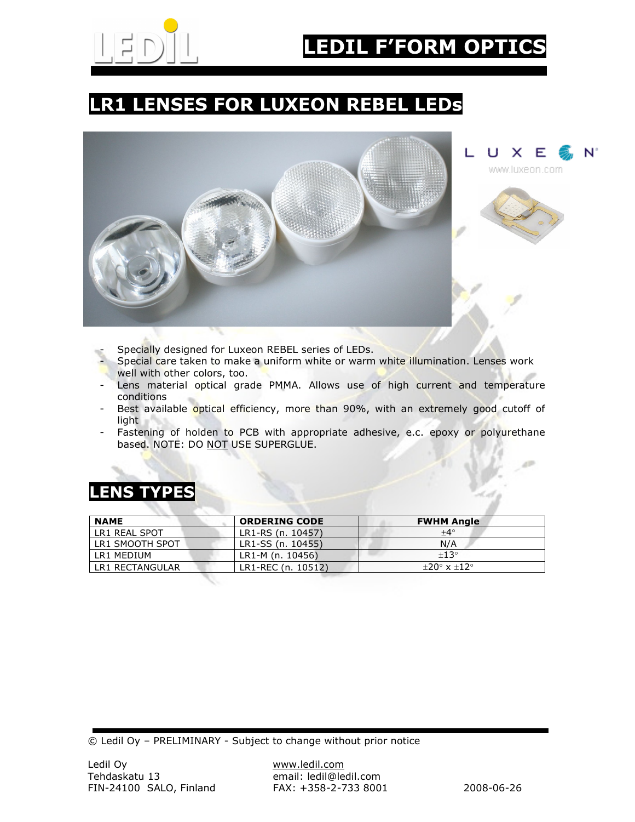

# LR1 LENSES FOR LUXEON REBEL LEDs



- Specially designed for Luxeon REBEL series of LEDs.
- Special care taken to make a uniform white or warm white illumination. Lenses work well with other colors, too.
- Lens material optical grade PMMA. Allows use of high current and temperature conditions
- Best available optical efficiency, more than 90%, with an extremely good cutoff of light
- Fastening of holden to PCB with appropriate adhesive, e.c. epoxy or polyurethane based. NOTE: DO NOT USE SUPERGLUE.

# LENS TYPES

| <b>NAME</b>     | <b>ORDERING CODE</b> | <b>FWHM Angle</b>             |
|-----------------|----------------------|-------------------------------|
| LR1 REAL SPOT   | LR1-RS (n. 10457)    | $+4^{\circ}$                  |
| LR1 SMOOTH SPOT | LR1-SS (n. 10455)    | N/A                           |
| LR1 MEDIUM      | LR1-M (n. 10456)     | $+13^\circ$                   |
| LR1 RECTANGULAR | LR1-REC (n. 10512)   | $+20^{\circ}$ x $+12^{\circ}$ |

© Ledil Oy – PRELIMINARY - Subject to change without prior notice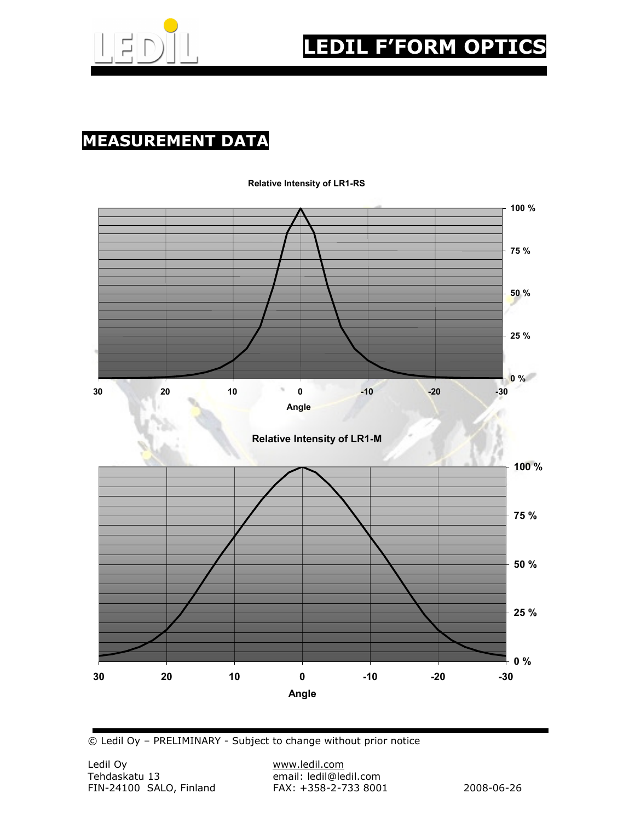

# MEASUREMENT DATA



#### Relative Intensity of LR1-RS

© Ledil Oy – PRELIMINARY - Subject to change without prior notice

email: ledil@ledil.com<br>FAX: +358-2-733 8001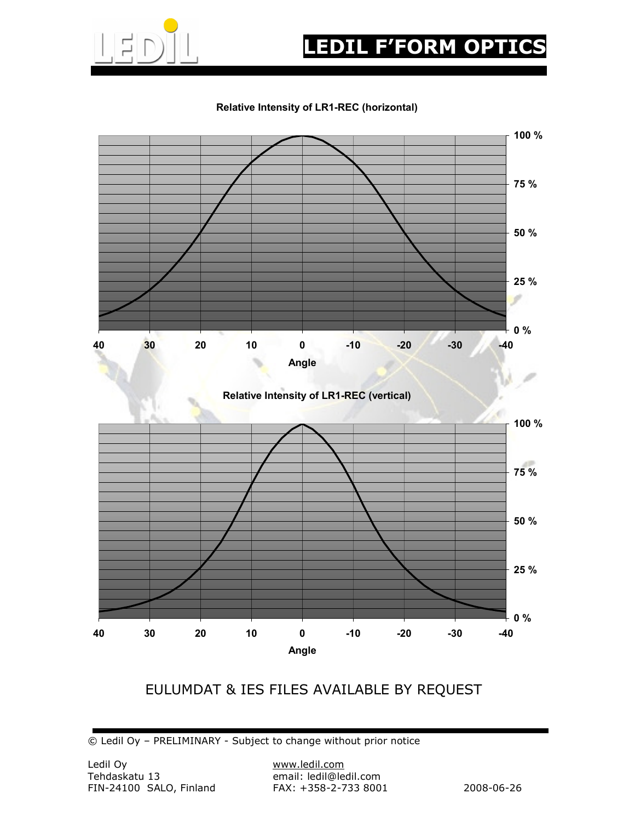

# **EDIL F'FORM OPTIC**

#### Relative Intensity of LR1-REC (horizontal)



### EULUMDAT & IES FILES AVAILABLE BY REQUEST

© Ledil Oy – PRELIMINARY - Subject to change without prior notice

email: ledil@ledil.com<br>FAX: +358-2-733 8001